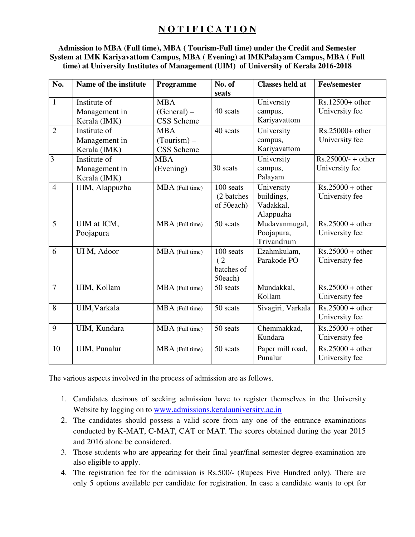## **N O T I F I C A T I O N**

#### **Admission to MBA (Full time), MBA ( Tourism-Full time) under the Credit and Semester System at IMK Kariyavattom Campus, MBA ( Evening) at IMKPalayam Campus, MBA ( Full time) at University Institutes of Management (UIM) of University of Kerala 2016-2018**

| No.            | Name of the institute | Programme       | No. of<br>seats | <b>Classes held at</b> | <b>Fee/semester</b>  |
|----------------|-----------------------|-----------------|-----------------|------------------------|----------------------|
| $\mathbf{1}$   | Institute of          | <b>MBA</b>      |                 | University             | $Rs.12500+other$     |
|                | Management in         | $(General)$ –   | 40 seats        | campus,                | University fee       |
|                | Kerala (IMK)          | CSS Scheme      |                 | Kariyavattom           |                      |
| $\overline{2}$ | Institute of          | <b>MBA</b>      | 40 seats        | University             | $Rs.25000+other$     |
|                | Management in         | $(Tourism)$ –   |                 | campus,                | University fee       |
|                | Kerala (IMK)          | CSS Scheme      |                 | Kariyavattom           |                      |
| $\overline{3}$ | Institute of          | <b>MBA</b>      |                 | University             | $Rs.25000/- + other$ |
|                | Management in         | (Evening)       | 30 seats        | campus,                | University fee       |
|                | Kerala (IMK)          |                 |                 | Palayam                |                      |
| $\overline{4}$ | UIM, Alappuzha        | MBA (Full time) | 100 seats       | University             | $Rs.25000 + other$   |
|                |                       |                 | (2 batches)     | buildings,             | University fee       |
|                |                       |                 | of 50each)      | Vadakkal,              |                      |
|                |                       |                 |                 | Alappuzha              |                      |
| 5              | UIM at ICM,           | MBA (Full time) | 50 seats        | Mudavanmugal,          | $Rs.25000 + other$   |
|                | Poojapura             |                 |                 | Poojapura,             | University fee       |
|                |                       |                 |                 | Trivandrum             |                      |
| 6              | UI M, Adoor           | MBA (Full time) | 100 seats       | Ezahmkulam,            | $Rs.25000 + other$   |
|                |                       |                 | (2)             | Parakode PO            | University fee       |
|                |                       |                 | batches of      |                        |                      |
|                |                       |                 | 50each)         |                        |                      |
| $\overline{7}$ | UIM, Kollam           | MBA (Full time) | 50 seats        | Mundakkal,             | $Rs.25000 + other$   |
|                |                       |                 |                 | Kollam                 | University fee       |
| 8              | UIM, Varkala          | MBA (Full time) | 50 seats        | Sivagiri, Varkala      | $Rs.25000 + other$   |
|                |                       |                 |                 |                        | University fee       |
| 9              | UIM, Kundara          | MBA (Full time) | 50 seats        | Chemmakkad,            | $Rs.25000 + other$   |
|                |                       |                 |                 | Kundara                | University fee       |
| 10             | UIM, Punalur          | MBA (Full time) | 50 seats        | Paper mill road,       | $Rs.25000 + other$   |
|                |                       |                 |                 | Punalur                | University fee       |

The various aspects involved in the process of admission are as follows.

- 1. Candidates desirous of seeking admission have to register themselves in the University Website by logging on to www.admissions.keralauniversity.ac.in
- 2. The candidates should possess a valid score from any one of the entrance examinations conducted by K-MAT, C-MAT, CAT or MAT. The scores obtained during the year 2015 and 2016 alone be considered.
- 3. Those students who are appearing for their final year/final semester degree examination are also eligible to apply.
- 4. The registration fee for the admission is Rs.500/- (Rupees Five Hundred only). There are only 5 options available per candidate for registration. In case a candidate wants to opt for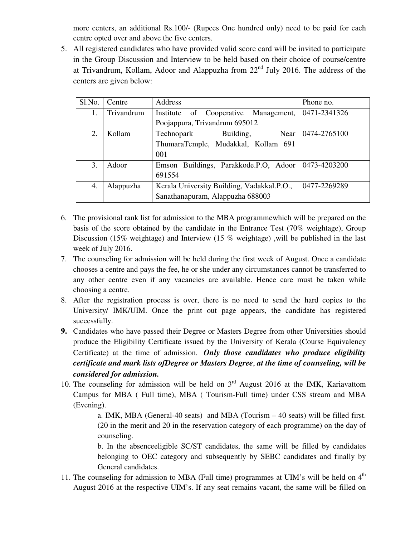more centers, an additional Rs.100/- (Rupees One hundred only) need to be paid for each centre opted over and above the five centers.

5. All registered candidates who have provided valid score card will be invited to participate in the Group Discussion and Interview to be held based on their choice of course/centre at Trivandrum, Kollam, Adoor and Alappuzha from  $22<sup>nd</sup>$  July 2016. The address of the centers are given below:

| Sl.No. | Centre     | Address                                              | Phone no.    |
|--------|------------|------------------------------------------------------|--------------|
| 1.     | Trivandrum | of Cooperative Management,<br>Institute              | 0471-2341326 |
|        |            | Poojappura, Trivandrum 695012                        |              |
| 2.     | Kollam     | Building,<br>Near<br>Technopark                      | 0474-2765100 |
|        |            | ThumaraTemple, Mudakkal, Kollam 691                  |              |
|        |            | 001                                                  |              |
| 3.     | Adoor      | Emson Buildings, Parakkode.P.O, Adoor   0473-4203200 |              |
|        |            | 691554                                               |              |
| 4.     | Alappuzha  | Kerala University Building, Vadakkal.P.O.,           | 0477-2269289 |
|        |            | Sanathanapuram, Alappuzha 688003                     |              |

- 6. The provisional rank list for admission to the MBA programmewhich will be prepared on the basis of the score obtained by the candidate in the Entrance Test (70% weightage), Group Discussion (15% weightage) and Interview (15 % weightage) ,will be published in the last week of July 2016.
- 7. The counseling for admission will be held during the first week of August. Once a candidate chooses a centre and pays the fee, he or she under any circumstances cannot be transferred to any other centre even if any vacancies are available. Hence care must be taken while choosing a centre.
- 8. After the registration process is over, there is no need to send the hard copies to the University/ IMK/UIM. Once the print out page appears, the candidate has registered successfully.
- **9.** Candidates who have passed their Degree or Masters Degree from other Universities should produce the Eligibility Certificate issued by the University of Kerala (Course Equivalency Certificate) at the time of admission. *Only those candidates who produce eligibility certificate and mark lists ofDegree or Masters Degree*, *at the time of counseling, will be considered for admission.*
- 10. The counseling for admission will be held on  $3<sup>rd</sup>$  August 2016 at the IMK, Kariavattom Campus for MBA ( Full time), MBA ( Tourism-Full time) under CSS stream and MBA (Evening).

a. IMK, MBA (General-40 seats) and MBA (Tourism – 40 seats) will be filled first. (20 in the merit and 20 in the reservation category of each programme) on the day of counseling.

b. In the absenceeligible SC/ST candidates, the same will be filled by candidates belonging to OEC category and subsequently by SEBC candidates and finally by General candidates.

11. The counseling for admission to MBA (Full time) programmes at UIM's will be held on  $4<sup>th</sup>$ August 2016 at the respective UIM's. If any seat remains vacant, the same will be filled on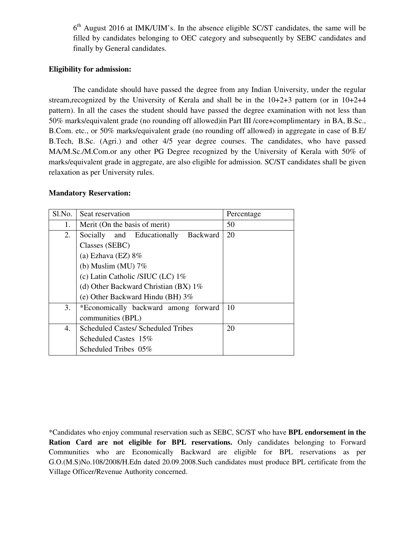6<sup>th</sup> August 2016 at IMK/UIM's. In the absence eligible SC/ST candidates, the same will be filled by candidates belonging to OEC category and subsequently by SEBC candidates and finally by General candidates.

#### **Eligibility for admission:**

The candidate should have passed the degree from any Indian University, under the regular stream, recognized by the University of Kerala and shall be in the  $10+2+3$  pattern (or in  $10+2+4$ ) pattern). In all the cases the student should have passed the degree examination with not less than 50% marks/equivalent grade (no rounding off allowed)in Part III /core+complimentary in BA, B.Sc., B.Com. etc., or 50% marks/equivalent grade (no rounding off allowed) in aggregate in case of B.E/ B.Tech, B.Sc. (Agri.) and other 4/5 year degree courses. The candidates, who have passed MA/M.Sc./M.Com.or any other PG Degree recognized by the University of Kerala with 50% of marks/equivalent grade in aggregate, are also eligible for admission. SC/ST candidates shall be given relaxation as per University rules.

#### **Mandatory Reservation:**

| Sl.No. | Seat reservation                              | Percentage |
|--------|-----------------------------------------------|------------|
| 1.     | Merit (On the basis of merit)                 | 50         |
| 2.     | <b>Backward</b><br>Socially and Educationally | 20         |
|        | Classes (SEBC)                                |            |
|        | (a) Ezhava (EZ) $8\%$                         |            |
|        | (b) Muslim (MU) $7\%$                         |            |
|        | (c) Latin Catholic /SIUC (LC) 1%              |            |
|        | (d) Other Backward Christian (BX) $1\%$       |            |
|        | (e) Other Backward Hindu (BH) $3\%$           |            |
| 3.     | *Economically backward among forward          | 10         |
|        | communities (BPL)                             |            |
| 4.     | <b>Scheduled Castes/ Scheduled Tribes</b>     | 20         |
|        | Scheduled Castes 15%                          |            |
|        | Scheduled Tribes 05%                          |            |

<sup>\*</sup>Candidates who enjoy communal reservation such as SEBC, SC/ST who have **BPL endorsement in the Ration Card are not eligible for BPL reservations.** Only candidates belonging to Forward Communities who are Economically Backward are eligible for BPL reservations as per G.O.(M.S)No.108/2008/H.Edn dated 20.09.2008.Such candidates must produce BPL certificate from the Village Officer/Revenue Authority concerned.